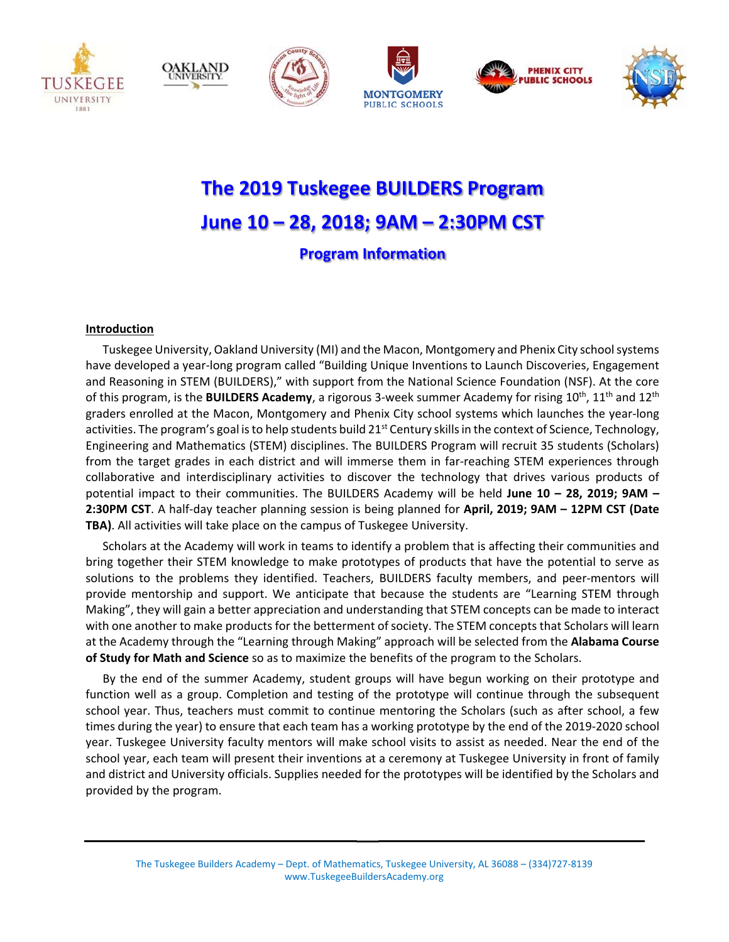











# **The 2019 Tuskegee BUILDERS Program June 10 – 28, 2018; 9AM – 2:30PM CST Program Information**

# **Introduction**

Tuskegee University, Oakland University (MI) and the Macon, Montgomery and Phenix City school systems have developed a year-long program called "Building Unique Inventions to Launch Discoveries, Engagement and Reasoning in STEM (BUILDERS)," with support from the National Science Foundation (NSF). At the core of this program, is the **BUILDERS Academy**, a rigorous 3-week summer Academy for rising 10<sup>th</sup>, 11<sup>th</sup> and 12<sup>th</sup> graders enrolled at the Macon, Montgomery and Phenix City school systems which launches the year‐long activities. The program's goal is to help students build  $21<sup>st</sup>$  Century skills in the context of Science, Technology, Engineering and Mathematics (STEM) disciplines. The BUILDERS Program will recruit 35 students (Scholars) from the target grades in each district and will immerse them in far-reaching STEM experiences through collaborative and interdisciplinary activities to discover the technology that drives various products of potential impact to their communities. The BUILDERS Academy will be held **June 10 – 28, 2019; 9AM – 2:30PM CST**. A half‐day teacher planning session is being planned for **April, 2019; 9AM – 12PM CST (Date TBA)**. All activities will take place on the campus of Tuskegee University.

Scholars at the Academy will work in teams to identify a problem that is affecting their communities and bring together their STEM knowledge to make prototypes of products that have the potential to serve as solutions to the problems they identified. Teachers, BUILDERS faculty members, and peer-mentors will provide mentorship and support. We anticipate that because the students are "Learning STEM through Making", they will gain a better appreciation and understanding that STEM concepts can be made to interact with one another to make products for the betterment of society. The STEM concepts that Scholars will learn at the Academy through the "Learning through Making" approach will be selected from the **Alabama Course of Study for Math and Science** so as to maximize the benefits of the program to the Scholars.

By the end of the summer Academy, student groups will have begun working on their prototype and function well as a group. Completion and testing of the prototype will continue through the subsequent school year. Thus, teachers must commit to continue mentoring the Scholars (such as after school, a few times during the year) to ensure that each team has a working prototype by the end of the 2019‐2020 school year. Tuskegee University faculty mentors will make school visits to assist as needed. Near the end of the school year, each team will present their inventions at a ceremony at Tuskegee University in front of family and district and University officials. Supplies needed for the prototypes will be identified by the Scholars and provided by the program.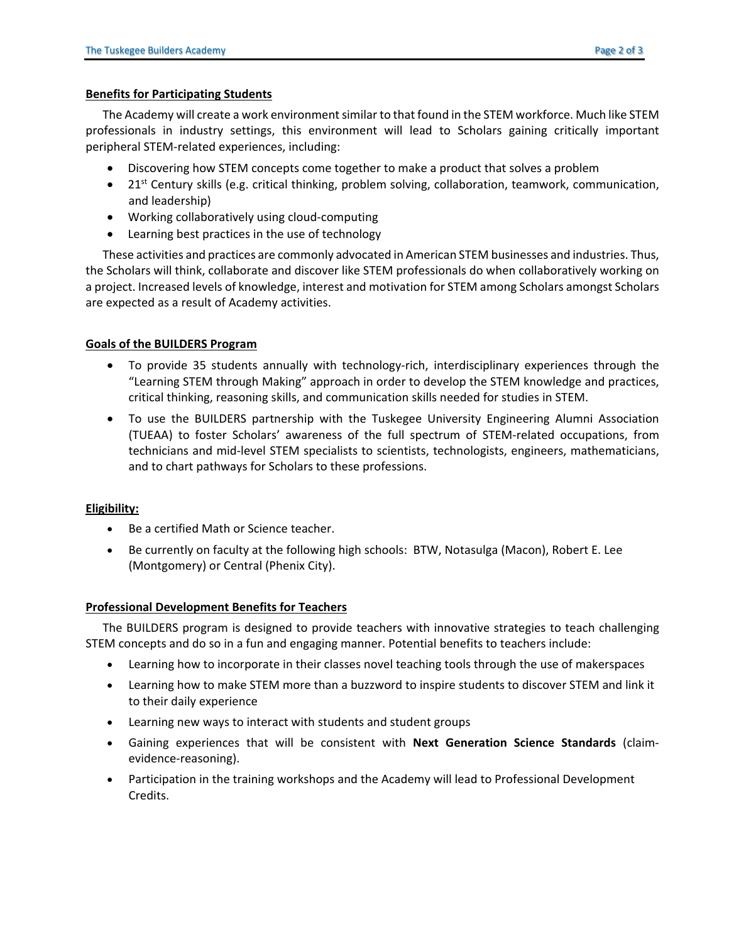### **Benefits for Participating Students**

The Academy will create a work environment similar to that found in the STEM workforce. Much like STEM professionals in industry settings, this environment will lead to Scholars gaining critically important peripheral STEM‐related experiences, including:

- Discovering how STEM concepts come together to make a product that solves a problem
- 21<sup>st</sup> Century skills (e.g. critical thinking, problem solving, collaboration, teamwork, communication, and leadership)
- Working collaboratively using cloud-computing
- Learning best practices in the use of technology

These activities and practices are commonly advocated in American STEM businesses and industries. Thus, the Scholars will think, collaborate and discover like STEM professionals do when collaboratively working on a project. Increased levels of knowledge, interest and motivation for STEM among Scholars amongst Scholars are expected as a result of Academy activities.

# **Goals of the BUILDERS Program**

- To provide 35 students annually with technology-rich, interdisciplinary experiences through the "Learning STEM through Making" approach in order to develop the STEM knowledge and practices, critical thinking, reasoning skills, and communication skills needed for studies in STEM.
- To use the BUILDERS partnership with the Tuskegee University Engineering Alumni Association (TUEAA) to foster Scholars' awareness of the full spectrum of STEM‐related occupations, from technicians and mid‐level STEM specialists to scientists, technologists, engineers, mathematicians, and to chart pathways for Scholars to these professions.

# **Eligibility:**

- Be a certified Math or Science teacher.
- Be currently on faculty at the following high schools: BTW, Notasulga (Macon), Robert E. Lee (Montgomery) or Central (Phenix City).

### **Professional Development Benefits for Teachers**

The BUILDERS program is designed to provide teachers with innovative strategies to teach challenging STEM concepts and do so in a fun and engaging manner. Potential benefits to teachers include:

- Learning how to incorporate in their classes novel teaching tools through the use of makerspaces
- Learning how to make STEM more than a buzzword to inspire students to discover STEM and link it to their daily experience
- Learning new ways to interact with students and student groups
- Gaining experiences that will be consistent with **Next Generation Science Standards** (claim‐ evidence‐reasoning).
- Participation in the training workshops and the Academy will lead to Professional Development Credits.